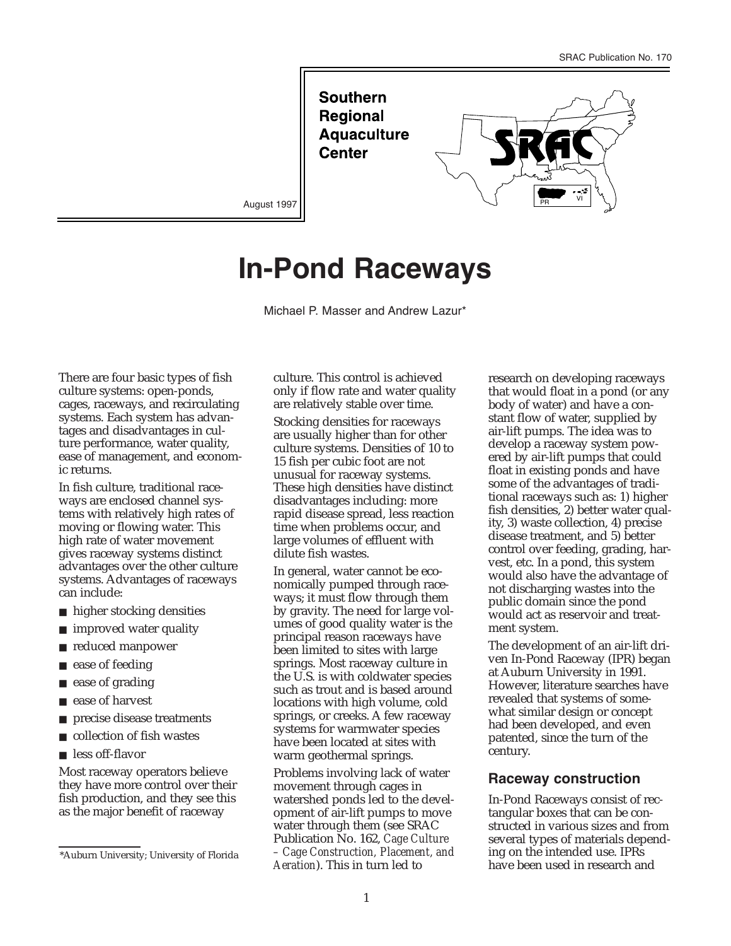**Southern Regional Aquaculture Center** 



August 1997

# **In-Pond Raceways**

Michael P. Masser and Andrew Lazur\*

There are four basic types of fish culture systems: open-ponds, cages, raceways, and recirculating systems. Each system has advantages and disadvantages in culture performance, water quality, ease of management, and economic returns.

In fish culture, traditional raceways are enclosed channel systems with relatively high rates of moving or flowing water. This high rate of water movement gives raceway systems distinct advantages over the other culture systems. Advantages of raceways can include:

- higher stocking densities
- improved water quality
- reduced manpower
- ease of feeding
- ease of grading
- ease of harvest
- precise disease treatments
- collection of fish wastes
- less off-flavor

Most raceway operators believe they have more control over their fish production, and they see this as the major benefit of raceway

culture. This control is achieved only if flow rate and water quality are relatively stable over time.

Stocking densities for raceways are usually higher than for other culture systems. Densities of 10 to 15 fish per cubic foot are not unusual for raceway systems. These high densities have distinct disadvantages including: more rapid disease spread, less reaction time when problems occur, and large volumes of effluent with dilute fish wastes.

In general, water cannot be economically pumped through raceways; it must flow through them by gravity. The need for large volumes of good quality water is the principal reason raceways have been limited to sites with large springs. Most raceway culture in the U.S. is with coldwater species such as trout and is based around locations with high volume, cold springs, or creeks. A few raceway systems for warmwater species have been located at sites with warm geothermal springs.

Problems involving lack of water movement through cages in watershed ponds led to the development of air-lift pumps to move water through them (see SRAC Publication No. 162, *Cage Culture – Cage Construction, Placement, and Aeration*). This in turn led to

research on developing raceways that would float in a pond (or any body of water) and have a constant flow of water, supplied by air-lift pumps. The idea was to develop a raceway system powered by air-lift pumps that could float in existing ponds and have some of the advantages of traditional raceways such as: 1) higher fish densities, 2) better water quality, 3) waste collection, 4) precise disease treatment, and 5) better control over feeding, grading, harvest, etc. In a pond, this system would also have the advantage of not discharging wastes into the public domain since the pond would act as reservoir and treatment system.

The development of an air-lift driven In-Pond Raceway (IPR) began at Auburn University in 1991. However, literature searches have revealed that systems of somewhat similar design or concept had been developed, and even patented, since the turn of the century.

#### **Raceway construction**

In-Pond Raceways consist of rectangular boxes that can be constructed in various sizes and from several types of materials depending on the intended use. IPRs have been used in research and

<sup>\*</sup>Auburn University; University of Florida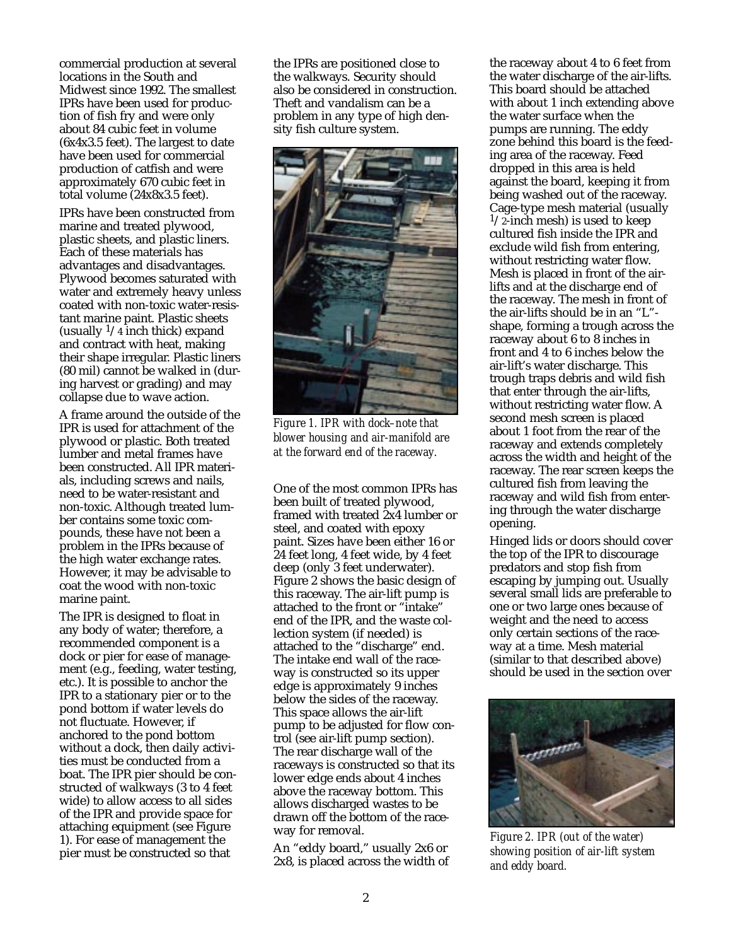commercial production at several locations in the South and Midwest since 1992. The smallest IPRs have been used for production of fish fry and were only about 84 cubic feet in volume (6x4x3.5 feet). The largest to date have been used for commercial production of catfish and were approximately 670 cubic feet in total volume (24x8x3.5 feet).

IPRs have been constructed from marine and treated plywood, plastic sheets, and plastic liners. Each of these materials has advantages and disadvantages. Plywood becomes saturated with water and extremely heavy unless coated with non-toxic water-resistant marine paint. Plastic sheets (usually  $\frac{1}{4}$  inch thick) expand and contract with heat, making their shape irregular. Plastic liners (80 mil) cannot be walked in (during harvest or grading) and may collapse due to wave action.

A frame around the outside of the IPR is used for attachment of the plywood or plastic. Both treated lumber and metal frames have been constructed. All IPR materials, including screws and nails, need to be water-resistant and non-toxic. Although treated lumber contains some toxic compounds, these have not been a problem in the IPRs because of the high water exchange rates. However, it may be advisable to coat the wood with non-toxic marine paint.

The IPR is designed to float in any body of water; therefore, a recommended component is a dock or pier for ease of management (e.g., feeding, water testing, etc.). It is possible to anchor the IPR to a stationary pier or to the pond bottom if water levels do not fluctuate. However, if anchored to the pond bottom without a dock, then daily activities must be conducted from a boat. The IPR pier should be constructed of walkways (3 to 4 feet wide) to allow access to all sides of the IPR and provide space for attaching equipment (see Figure 1). For ease of management the pier must be constructed so that

the IPRs are positioned close to the walkways. Security should also be considered in construction. Theft and vandalism can be a problem in any type of high density fish culture system.



*Figure 1. IPR with dock–note that blower housing and air-manifold are at the forward end of the raceway.*

One of the most common IPRs has been built of treated plywood, framed with treated 2x4 lumber or steel, and coated with epoxy paint. Sizes have been either 16 or 24 feet long, 4 feet wide, by 4 feet deep (only 3 feet underwater). Figure 2 shows the basic design of this raceway. The air-lift pump is attached to the front or "intake" end of the IPR, and the waste collection system (if needed) is attached to the "discharge" end. The intake end wall of the raceway is constructed so its upper edge is approximately 9 inches below the sides of the raceway. This space allows the air-lift pump to be adjusted for flow control (see air-lift pump section). The rear discharge wall of the raceways is constructed so that its lower edge ends about 4 inches above the raceway bottom. This allows discharged wastes to be drawn off the bottom of the raceway for removal.

An "eddy board," usually 2x6 or 2x8, is placed across the width of

the raceway about 4 to 6 feet from the water discharge of the air-lifts. This board should be attached with about 1 inch extending above the water surface when the pumps are running. The eddy zone behind this board is the feeding area of the raceway. Feed dropped in this area is held against the board, keeping it from being washed out of the raceway. Cage-type mesh material (usually  $1/2$ -inch mesh) is used to keep cultured fish inside the IPR and exclude wild fish from entering, without restricting water flow. Mesh is placed in front of the airlifts and at the discharge end of the raceway. The mesh in front of the air-lifts should be in an "L" shape, forming a trough across the raceway about 6 to 8 inches in front and 4 to 6 inches below the air-lift's water discharge. This trough traps debris and wild fish that enter through the air-lifts, without restricting water flow. A second mesh screen is placed about 1 foot from the rear of the raceway and extends completely across the width and height of the raceway. The rear screen keeps the cultured fish from leaving the raceway and wild fish from entering through the water discharge opening.

Hinged lids or doors should cover the top of the IPR to discourage predators and stop fish from escaping by jumping out. Usually several small lids are preferable to one or two large ones because of weight and the need to access only certain sections of the raceway at a time. Mesh material (similar to that described above) should be used in the section over



*Figure 2. IPR (out of the water) showing position of air-lift system and eddy board.*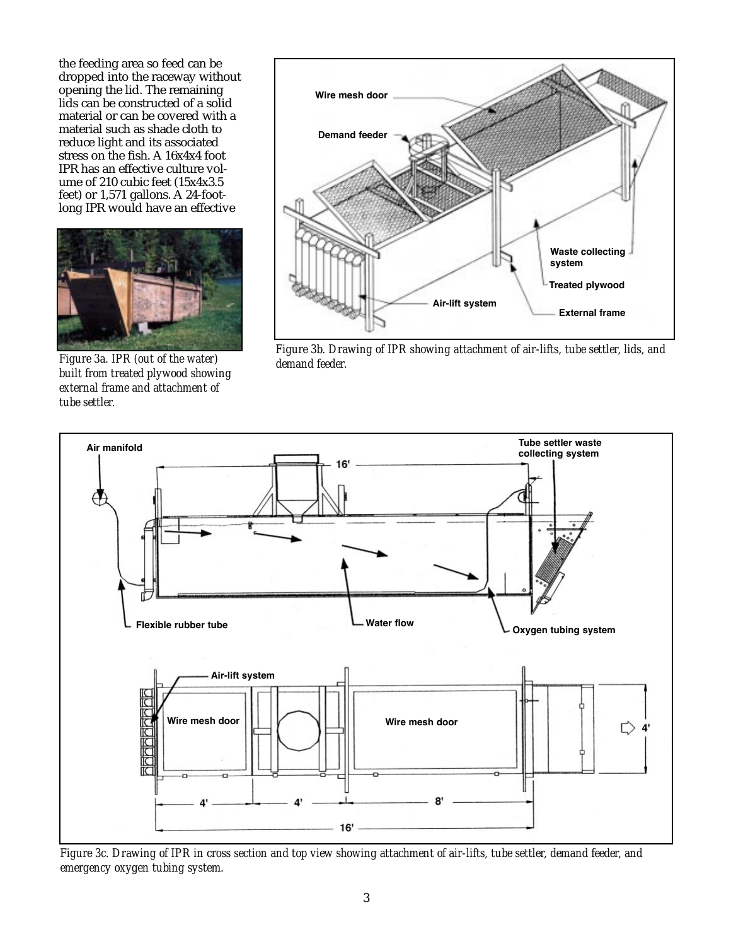the feeding area so feed can be dropped into the raceway without opening the lid. The remaining lids can be constructed of a solid material or can be covered with a material such as shade cloth to reduce light and its associated stress on the fish. A 16x4x4 foot IPR has an effective culture volume of 210 cubic feet (15x4x3.5 feet) or 1,571 gallons. A 24-footlong IPR would have an effective



*Figure 3a. IPR (out of the water) built from treated plywood showing external frame and attachment of tube settler.*



*Figure 3b. Drawing of IPR showing attachment of air-lifts, tube settler, lids, and demand feeder.*



*Figure 3c. Drawing of IPR in cross section and top view showing attachment of air-lifts, tube settler, demand feeder, and emergency oxygen tubing system.*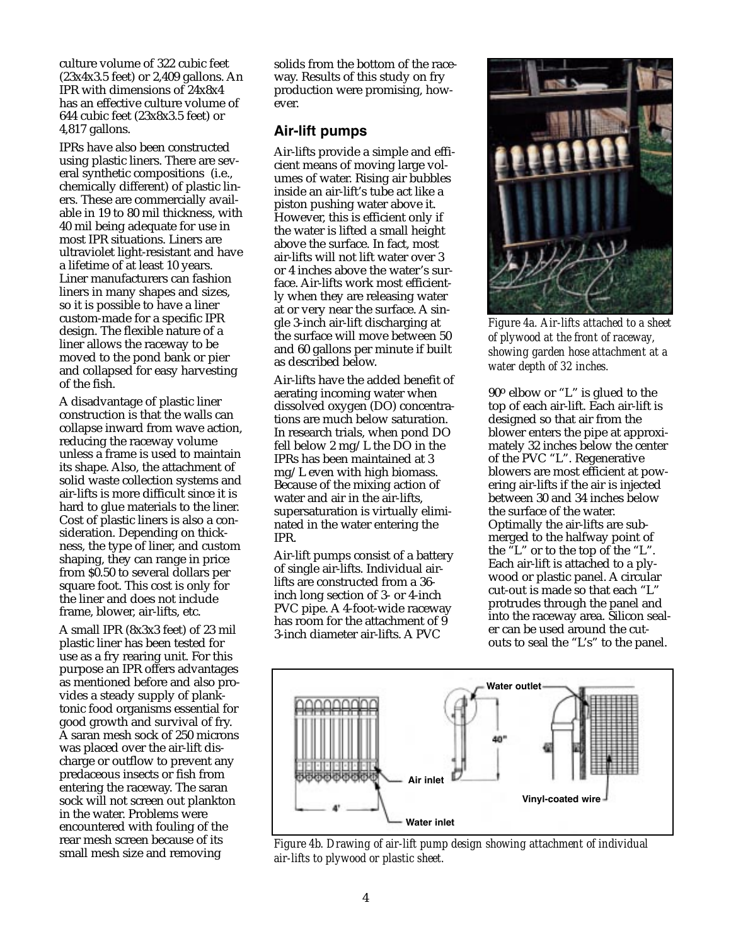culture volume of 322 cubic feet (23x4x3.5 feet) or 2,409 gallons. An IPR with dimensions of 24x8x4 has an effective culture volume of 644 cubic feet (23x8x3.5 feet) or 4,817 gallons.

IPRs have also been constructed using plastic liners. There are several synthetic compositions (i.e., chemically different) of plastic liners. These are commercially available in 19 to 80 mil thickness, with 40 mil being adequate for use in most IPR situations. Liners are ultraviolet light-resistant and have a lifetime of at least 10 years. Liner manufacturers can fashion liners in many shapes and sizes, so it is possible to have a liner custom-made for a specific IPR design. The flexible nature of a liner allows the raceway to be moved to the pond bank or pier and collapsed for easy harvesting of the fish.

A disadvantage of plastic liner construction is that the walls can collapse inward from wave action, reducing the raceway volume unless a frame is used to maintain its shape. Also, the attachment of solid waste collection systems and air-lifts is more difficult since it is hard to glue materials to the liner. Cost of plastic liners is also a consideration. Depending on thickness, the type of liner, and custom shaping, they can range in price from \$0.50 to several dollars per square foot. This cost is only for the liner and does not include frame, blower, air-lifts, etc.

A small IPR (8x3x3 feet) of 23 mil plastic liner has been tested for use as a fry rearing unit. For this purpose an IPR offers advantages as mentioned before and also provides a steady supply of planktonic food organisms essential for good growth and survival of fry. A saran mesh sock of 250 microns was placed over the air-lift discharge or outflow to prevent any predaceous insects or fish from entering the raceway. The saran sock will not screen out plankton in the water. Problems were encountered with fouling of the rear mesh screen because of its small mesh size and removing

solids from the bottom of the raceway. Results of this study on fry production were promising, however.

#### **Air-lift pumps**

Air-lifts provide a simple and efficient means of moving large volumes of water. Rising air bubbles inside an air-lift's tube act like a piston pushing water above it. However, this is efficient only if the water is lifted a small height above the surface. In fact, most air-lifts will not lift water over 3 or 4 inches above the water's surface. Air-lifts work most efficiently when they are releasing water at or very near the surface. A single 3-inch air-lift discharging at the surface will move between 50 and 60 gallons per minute if built as described below.

Air-lifts have the added benefit of aerating incoming water when dissolved oxygen (DO) concentrations are much below saturation. In research trials, when pond DO fell below 2 mg/L the DO in the IPRs has been maintained at 3 mg/L even with high biomass. Because of the mixing action of water and air in the air-lifts, supersaturation is virtually eliminated in the water entering the IPR.

Air-lift pumps consist of a battery of single air-lifts. Individual airlifts are constructed from a 36 inch long section of 3- or 4-inch PVC pipe. A 4-foot-wide raceway has room for the attachment of 9 3-inch diameter air-lifts. A PVC



*Figure 4a. Air-lifts attached to a sheet of plywood at the front of raceway, showing garden hose attachment at a water depth of 32 inches.*

90o elbow or "L" is glued to the top of each air-lift. Each air-lift is designed so that air from the blower enters the pipe at approximately 32 inches below the center of the PVC "L". Regenerative blowers are most efficient at powering air-lifts if the air is injected between 30 and 34 inches below the surface of the water. Optimally the air-lifts are submerged to the halfway point of the "L" or to the top of the "L". Each air-lift is attached to a plywood or plastic panel. A circular cut-out is made so that each "L" protrudes through the panel and into the raceway area. Silicon sealer can be used around the cutouts to seal the "L's" to the panel.



*Figure 4b. Drawing of air-lift pump design showing attachment of individual air-lifts to plywood or plastic sheet.*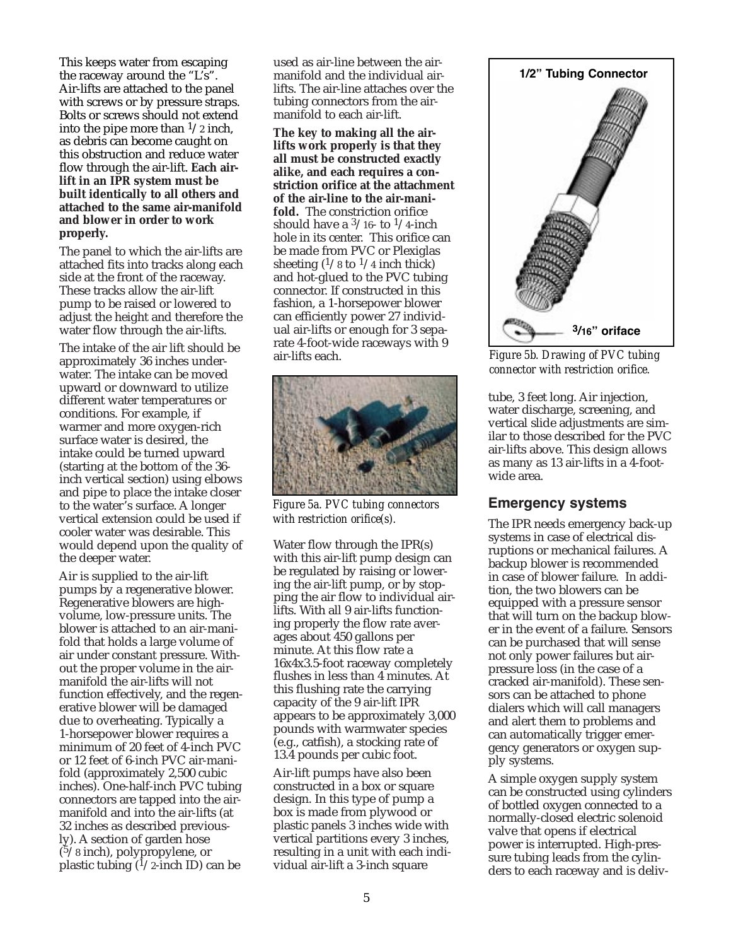This keeps water from escaping the raceway around the "L's". Air-lifts are attached to the panel with screws or by pressure straps. Bolts or screws should not extend into the pipe more than  $\frac{1}{2}$  inch, as debris can become caught on this obstruction and reduce water flow through the air-lift. **Each airlift in an IPR system must be built identically to all others and attached to the same air-manifold and blower in order to work properly.**

The panel to which the air-lifts are attached fits into tracks along each side at the front of the raceway. These tracks allow the air-lift pump to be raised or lowered to adjust the height and therefore the water flow through the air-lifts.

The intake of the air lift should be approximately 36 inches underwater. The intake can be moved upward or downward to utilize different water temperatures or conditions. For example, if warmer and more oxygen-rich surface water is desired, the intake could be turned upward (starting at the bottom of the 36 inch vertical section) using elbows and pipe to place the intake closer to the water's surface. A longer vertical extension could be used if cooler water was desirable. This would depend upon the quality of the deeper water.

Air is supplied to the air-lift pumps by a regenerative blower. Regenerative blowers are highvolume, low-pressure units. The blower is attached to an air-manifold that holds a large volume of air under constant pressure. Without the proper volume in the airmanifold the air-lifts will not function effectively, and the regenerative blower will be damaged due to overheating. Typically a 1-horsepower blower requires a minimum of 20 feet of 4-inch PVC or 12 feet of 6-inch PVC air-manifold (approximately 2,500 cubic inches). One-half-inch PVC tubing connectors are tapped into the airmanifold and into the air-lifts (at 32 inches as described previously). A section of garden hose  $(5/8$  inch), polypropylene, or plastic tubing  $(1/2$ -inch ID) can be

used as air-line between the airmanifold and the individual airlifts. The air-line attaches over the tubing connectors from the airmanifold to each air-lift.

**The key to making all the airlifts work properly is that they all must be constructed exactly alike, and each requires a constriction orifice at the attachment of the air-line to the air-manifold.** The constriction orifice should have a  $\frac{3}{16}$ - to  $\frac{1}{4}$ -inch hole in its center. This orifice can be made from PVC or Plexiglas sheeting  $(1/8 \text{ to } 1/4 \text{ inch thick})$ and hot-glued to the PVC tubing connector. If constructed in this fashion, a 1-horsepower blower can efficiently power 27 individual air-lifts or enough for 3 separate 4-foot-wide raceways with 9 air-lifts each.



*Figure 5a. PVC tubing connectors with restriction orifice(s).*

Water flow through the IPR(s) with this air-lift pump design can be regulated by raising or lowering the air-lift pump, or by stopping the air flow to individual airlifts. With all 9 air-lifts functioning properly the flow rate averages about 450 gallons per minute. At this flow rate a 16x4x3.5-foot raceway completely flushes in less than 4 minutes. At this flushing rate the carrying capacity of the 9 air-lift IPR appears to be approximately 3,000 pounds with warmwater species (e.g., catfish), a stocking rate of 13.4 pounds per cubic foot.

Air-lift pumps have also been constructed in a box or square design. In this type of pump a box is made from plywood or plastic panels 3 inches wide with vertical partitions every 3 inches, resulting in a unit with each individual air-lift a 3-inch square



*Figure 5b. Drawing of PVC tubing connector with restriction orifice.*

tube, 3 feet long. Air injection, water discharge, screening, and vertical slide adjustments are similar to those described for the PVC air-lifts above. This design allows as many as 13 air-lifts in a 4-footwide area.

#### **Emergency systems**

The IPR needs emergency back-up systems in case of electrical disruptions or mechanical failures. A backup blower is recommended in case of blower failure. In addition, the two blowers can be equipped with a pressure sensor that will turn on the backup blower in the event of a failure. Sensors can be purchased that will sense not only power failures but airpressure loss (in the case of a cracked air-manifold). These sensors can be attached to phone dialers which will call managers and alert them to problems and can automatically trigger emergency generators or oxygen supply systems.

A simple oxygen supply system can be constructed using cylinders of bottled oxygen connected to a normally-closed electric solenoid valve that opens if electrical power is interrupted. High-pressure tubing leads from the cylinders to each raceway and is deliv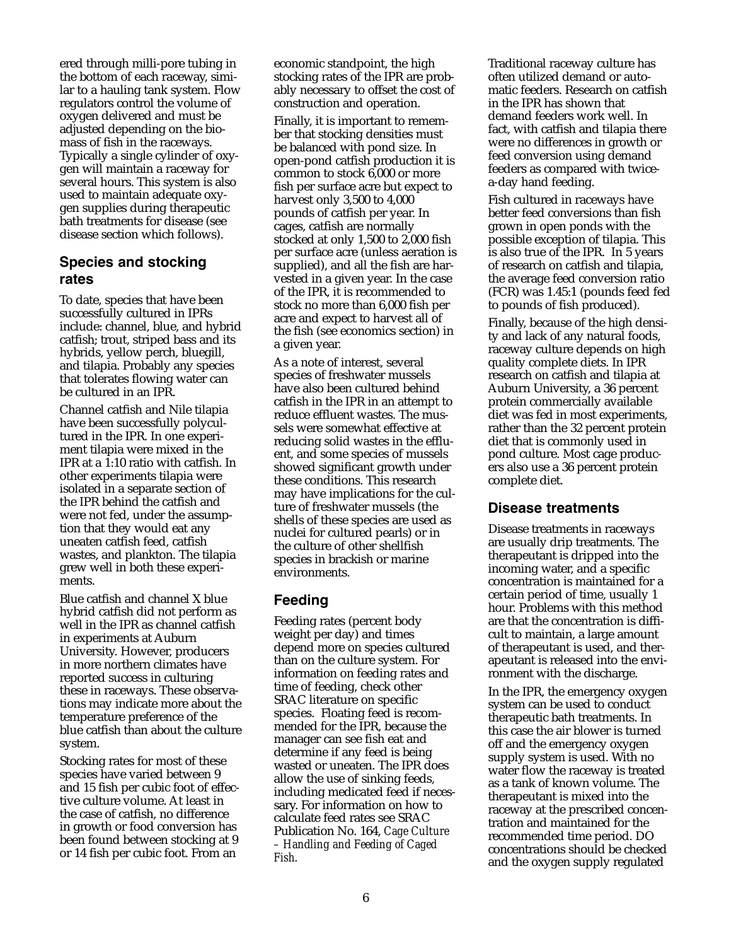ered through milli-pore tubing in the bottom of each raceway, similar to a hauling tank system. Flow regulators control the volume of oxygen delivered and must be adjusted depending on the biomass of fish in the raceways. Typically a single cylinder of oxygen will maintain a raceway for several hours. This system is also used to maintain adequate oxygen supplies during therapeutic bath treatments for disease (see disease section which follows).

### **Species and stocking rates**

To date, species that have been successfully cultured in IPRs include: channel, blue, and hybrid catfish; trout, striped bass and its hybrids, yellow perch, bluegill, and tilapia. Probably any species that tolerates flowing water can be cultured in an IPR.

Channel catfish and Nile tilapia have been successfully polycultured in the IPR. In one experiment tilapia were mixed in the IPR at a 1:10 ratio with catfish. In other experiments tilapia were isolated in a separate section of the IPR behind the catfish and were not fed, under the assumption that they would eat any uneaten catfish feed, catfish wastes, and plankton. The tilapia grew well in both these experiments.

Blue catfish and channel X blue hybrid catfish did not perform as well in the IPR as channel catfish in experiments at Auburn University. However, producers in more northern climates have reported success in culturing these in raceways. These observations may indicate more about the temperature preference of the blue catfish than about the culture system.

Stocking rates for most of these species have varied between 9 and 15 fish per cubic foot of effective culture volume. At least in the case of catfish, no difference in growth or food conversion has been found between stocking at 9 or 14 fish per cubic foot. From an

economic standpoint, the high stocking rates of the IPR are probably necessary to offset the cost of construction and operation.

Finally, it is important to remember that stocking densities must be balanced with pond size. In open-pond catfish production it is common to stock 6,000 or more fish per surface acre but expect to harvest only 3,500 to 4,000 pounds of catfish per year. In cages, catfish are normally stocked at only 1,500 to 2,000 fish per surface acre (unless aeration is supplied), and all the fish are harvested in a given year. In the case of the IPR, it is recommended to stock no more than 6,000 fish per acre and expect to harvest all of the fish (see economics section) in a given year.

As a note of interest, several species of freshwater mussels have also been cultured behind catfish in the IPR in an attempt to reduce effluent wastes. The mussels were somewhat effective at reducing solid wastes in the effluent, and some species of mussels showed significant growth under these conditions. This research may have implications for the culture of freshwater mussels (the shells of these species are used as nuclei for cultured pearls) or in the culture of other shellfish species in brackish or marine environments.

# **Feeding**

Feeding rates (percent body weight per day) and times depend more on species cultured than on the culture system. For information on feeding rates and time of feeding, check other SRAC literature on specific species. Floating feed is recommended for the IPR, because the manager can see fish eat and determine if any feed is being wasted or uneaten. The IPR does allow the use of sinking feeds, including medicated feed if necessary. For information on how to calculate feed rates see SRAC Publication No. 164, *Cage Culture – Handling and Feeding of Caged Fish*.

Traditional raceway culture has often utilized demand or automatic feeders. Research on catfish in the IPR has shown that demand feeders work well. In fact, with catfish and tilapia there were no differences in growth or feed conversion using demand feeders as compared with twicea-day hand feeding.

Fish cultured in raceways have better feed conversions than fish grown in open ponds with the possible exception of tilapia. This is also true of the IPR. In 5 years of research on catfish and tilapia, the average feed conversion ratio (FCR) was 1.45:1 (pounds feed fed to pounds of fish produced).

Finally, because of the high density and lack of any natural foods, raceway culture depends on high quality complete diets. In IPR research on catfish and tilapia at Auburn University, a 36 percent protein commercially available diet was fed in most experiments, rather than the 32 percent protein diet that is commonly used in pond culture. Most cage producers also use a 36 percent protein complete diet.

#### **Disease treatments**

Disease treatments in raceways are usually drip treatments. The therapeutant is dripped into the incoming water, and a specific concentration is maintained for a certain period of time, usually 1 hour. Problems with this method are that the concentration is difficult to maintain, a large amount of therapeutant is used, and therapeutant is released into the environment with the discharge.

In the IPR, the emergency oxygen system can be used to conduct therapeutic bath treatments. In this case the air blower is turned off and the emergency oxygen supply system is used. With no water flow the raceway is treated as a tank of known volume. The therapeutant is mixed into the raceway at the prescribed concentration and maintained for the recommended time period. DO concentrations should be checked and the oxygen supply regulated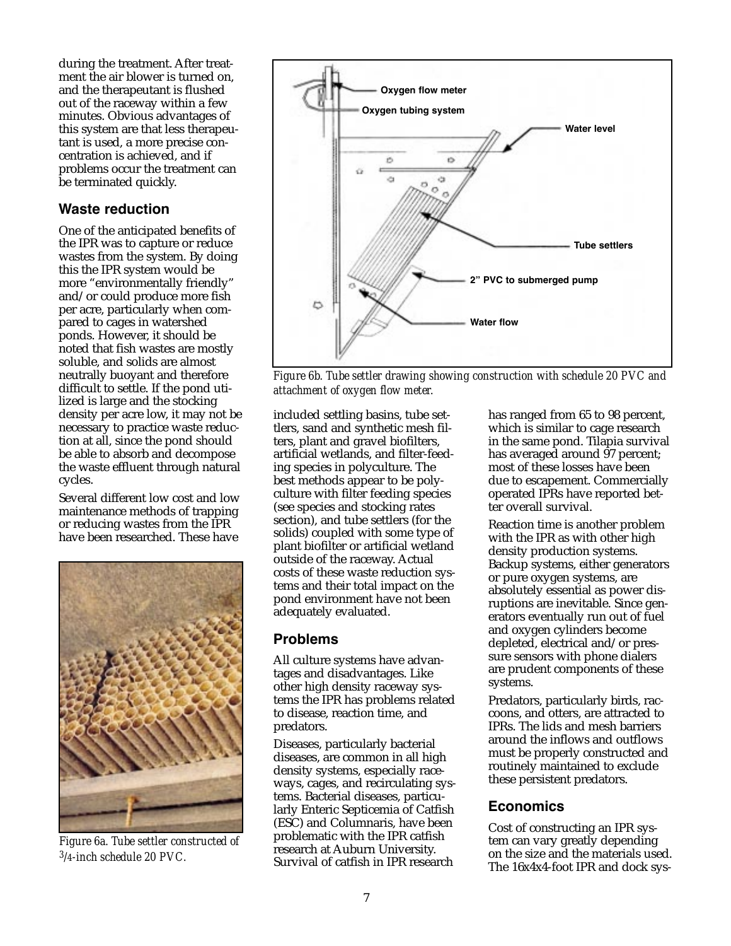during the treatment. After treatment the air blower is turned on, and the therapeutant is flushed out of the raceway within a few minutes. Obvious advantages of this system are that less therapeutant is used, a more precise concentration is achieved, and if problems occur the treatment can be terminated quickly.

### **Waste reduction**

One of the anticipated benefits of the IPR was to capture or reduce wastes from the system. By doing this the IPR system would be more "environmentally friendly" and/or could produce more fish per acre, particularly when compared to cages in watershed ponds. However, it should be noted that fish wastes are mostly soluble, and solids are almost neutrally buoyant and therefore difficult to settle. If the pond utilized is large and the stocking density per acre low, it may not be necessary to practice waste reduction at all, since the pond should be able to absorb and decompose the waste effluent through natural cycles.

Several different low cost and low maintenance methods of trapping or reducing wastes from the IPR have been researched. These have



*Figure 6a. Tube settler constructed of 3/4-inch schedule 20 PVC.*



*Figure 6b. Tube settler drawing showing construction with schedule 20 PVC and attachment of oxygen flow meter.*

included settling basins, tube settlers, sand and synthetic mesh filters, plant and gravel biofilters, artificial wetlands, and filter-feeding species in polyculture. The best methods appear to be polyculture with filter feeding species (see species and stocking rates section), and tube settlers (for the solids) coupled with some type of plant biofilter or artificial wetland outside of the raceway. Actual costs of these waste reduction systems and their total impact on the pond environment have not been adequately evaluated.

#### **Problems**

All culture systems have advantages and disadvantages. Like other high density raceway systems the IPR has problems related to disease, reaction time, and predators.

Diseases, particularly bacterial diseases, are common in all high density systems, especially raceways, cages, and recirculating systems. Bacterial diseases, particularly Enteric Septicemia of Catfish (ESC) and Columnaris, have been problematic with the IPR catfish research at Auburn University. Survival of catfish in IPR research

has ranged from 65 to 98 percent, which is similar to cage research in the same pond. Tilapia survival has averaged around 97 percent; most of these losses have been due to escapement. Commercially operated IPRs have reported better overall survival.

Reaction time is another problem with the IPR as with other high density production systems. Backup systems, either generators or pure oxygen systems, are absolutely essential as power disruptions are inevitable. Since generators eventually run out of fuel and oxygen cylinders become depleted, electrical and/or pressure sensors with phone dialers are prudent components of these systems.

Predators, particularly birds, raccoons, and otters, are attracted to IPRs. The lids and mesh barriers around the inflows and outflows must be properly constructed and routinely maintained to exclude these persistent predators.

#### **Economics**

Cost of constructing an IPR system can vary greatly depending on the size and the materials used. The 16x4x4-foot IPR and dock sys